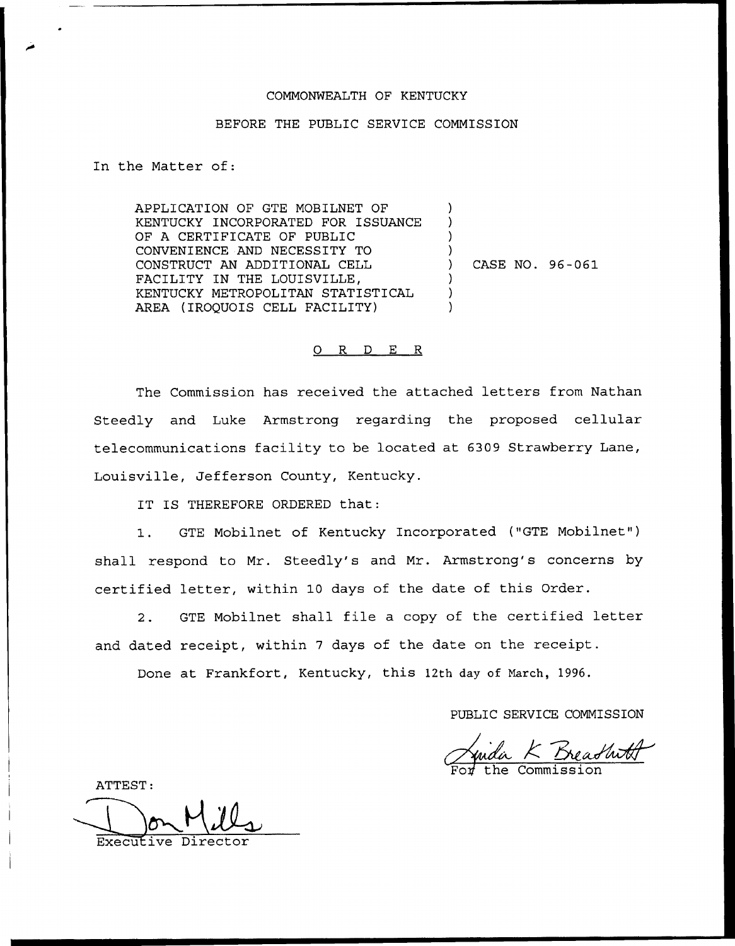## COMMONWEALTH OF KENTUCKY

## BEFORE THE PUBLIC SERVICE COMMISSION

In the Matter of:

APPLICATION OF GTE MOBILNET OF KENTUCKY INCORPORATED FOR ISSUANCE OF A CERTIFICATE OF PUBLIC CONVENIENCE AND NECESSITY TO CONSTRUCT AN ADDITIONAL CELL FACILITY IN THE LOUISVILLE, KENTUCKY METROPOLITAN STATISTICAL AREA (IROQUOIS CELL FACILITY) ) ) ) ) ) CASE NO. 96-061 ) ) )

## 0 R <sup>D</sup> E R

The Commission has received the attached letters from Nathan Steedly and Luke Armstrong regarding the proposed cellular telecommunications facility to be located at 6309 Strawberry Lane, Louisville, Jefferson County, Kentucky.

IT IS THEREFORE ORDERED that:

1. GTE Mobilnet of Kentucky Incorporated ("GTE Mobilnet") shall respond to Mr. Steedly's and Mr. Armstrong's concerns by certified letter, within 10 days of the date of this Order.

2. GTE Mobilnet shall file <sup>a</sup> copy of the certified letter and dated receipt, within <sup>7</sup> days of the date on the receipt.

Done at Frankfort, Kentucky, this 12th day of Narch, 1996.

PUBLIC SERVICE COMMISSION

<u>Luida K Breadhith</u>

ATTEST:

Executive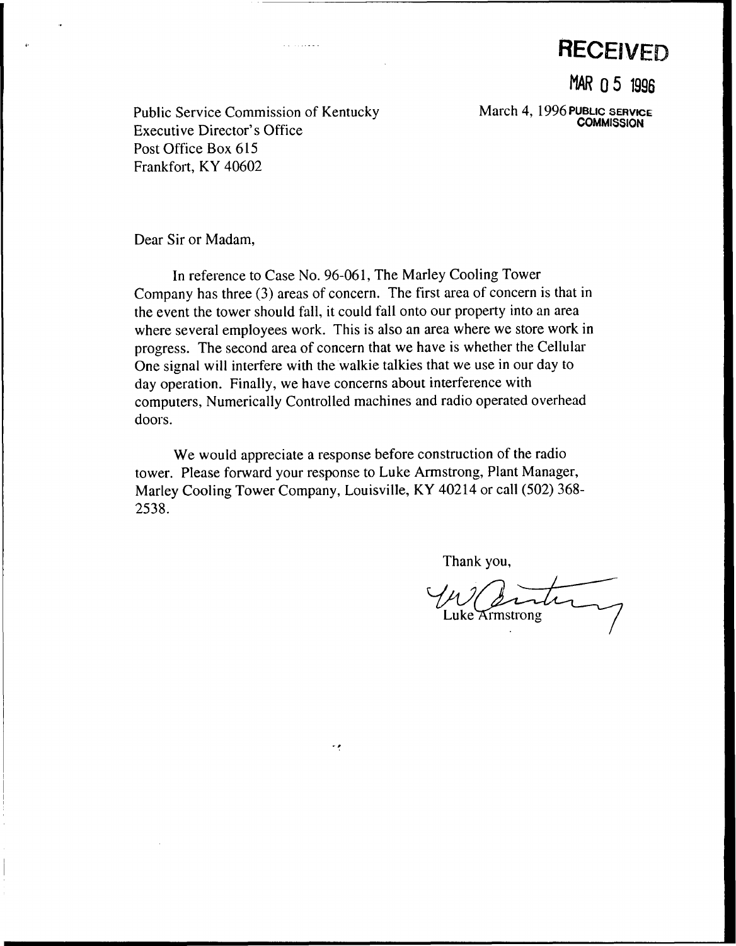**RECEIVED** 

MAR 0 5 1996

March 4, 1996 PUBLIC SERVICE **COMMISSION** 

Public Service Commission of Kentucky Executive Director's Office Post Office Box 615 Frankfort, KY 40602

Dear Sir or Madam,

In reference to Case No. 96-061, The Marley Cooling Tower Company has three (3) areas of concern. The first area of concern is that in the event the tower should fall, it could fall onto our property into an area where several employees work. This is also an area where we store work in progress. The second area of concern that we have is whether the Cellular One signal will interfere with the walkie talkies that we use in our day to day operation. Finally, we have concerns about interference with computers, Numerically Controlled machines and radio operated overhead doors.

We would appreciate a response before construction of the radio tower. Please forward your response to Luke Armstrong, Plant Manager, Marley Cooling Tower Company, Louisville, KY 40214 or call (502) 368- 2538.

 $\ddot{\phantom{0}}$ 

Thank you,

Luke Armstrong